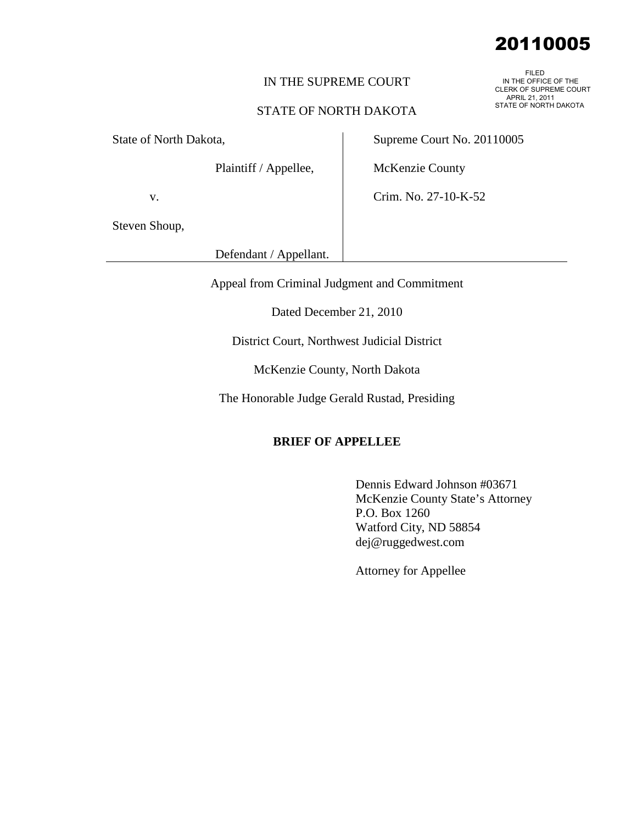## IN THE SUPREME COURT

### STATE OF NORTH DAKOTA

State of North Dakota,

Plaintiff / Appellee,

Supreme Court No. 20110005

McKenzie County

Crim. No. 27-10-K-52

v.

Steven Shoup,

Defendant / Appellant.

Appeal from Criminal Judgment and Commitment

Dated December 21, 2010

District Court, Northwest Judicial District

McKenzie County, North Dakota

The Honorable Judge Gerald Rustad, Presiding

### **BRIEF OF APPELLEE**

Dennis Edward Johnson #03671 McKenzie County State's Attorney P.O. Box 1260 Watford City, ND 58854 dej@ruggedwest.com

Attorney for Appellee

# 20110005

 FILED IN THE OFFICE OF THE CLERK OF SUPREME COURT APRIL 21, 2011 STATE OF NORTH DAKOTA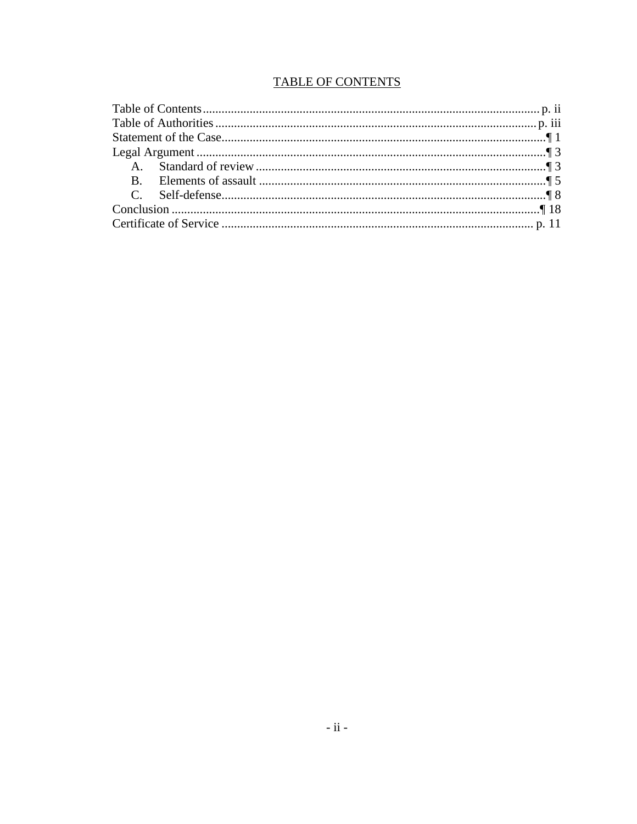# **TABLE OF CONTENTS**

<span id="page-1-0"></span>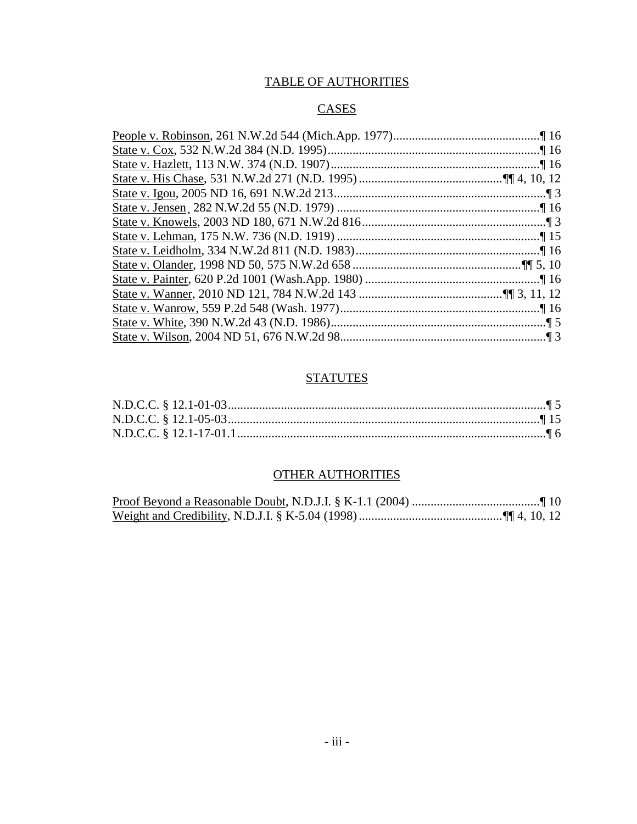# TABLE OF AUTHORITIES

# CASES

<span id="page-2-0"></span>

# **STATUTES**

# OTHER AUTHORITIES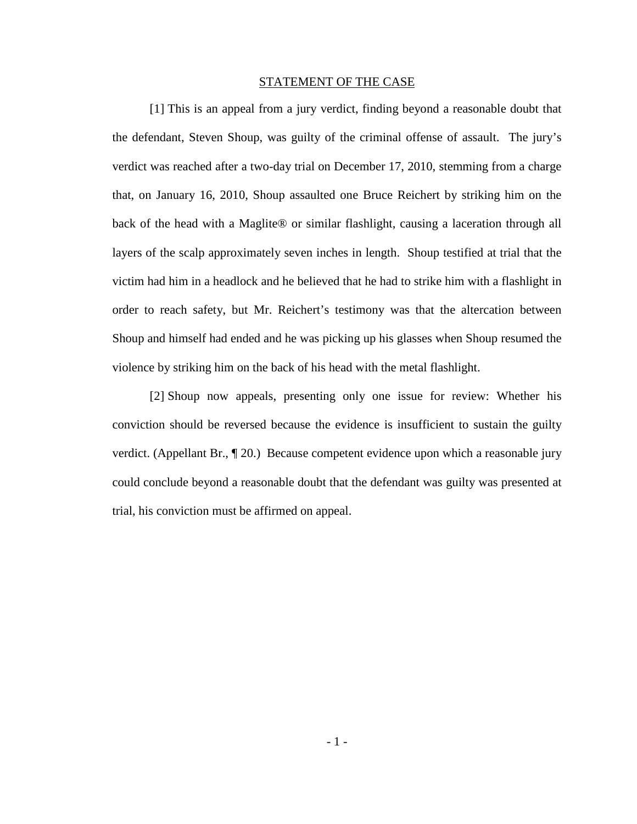#### STATEMENT OF THE CASE

<span id="page-3-0"></span>[1] This is an appeal from a jury verdict, finding beyond a reasonable doubt that the defendant, Steven Shoup, was guilty of the criminal offense of assault. The jury's verdict was reached after a two-day trial on December 17, 2010, stemming from a charge that, on January 16, 2010, Shoup assaulted one Bruce Reichert by striking him on the back of the head with a Maglite® or similar flashlight, causing a laceration through all layers of the scalp approximately seven inches in length. Shoup testified at trial that the victim had him in a headlock and he believed that he had to strike him with a flashlight in order to reach safety, but Mr. Reichert's testimony was that the altercation between Shoup and himself had ended and he was picking up his glasses when Shoup resumed the violence by striking him on the back of his head with the metal flashlight.

[2] Shoup now appeals, presenting only one issue for review: Whether his conviction should be reversed because the evidence is insufficient to sustain the guilty verdict. (Appellant Br., ¶ 20.) Because competent evidence upon which a reasonable jury could conclude beyond a reasonable doubt that the defendant was guilty was presented at trial, his conviction must be affirmed on appeal.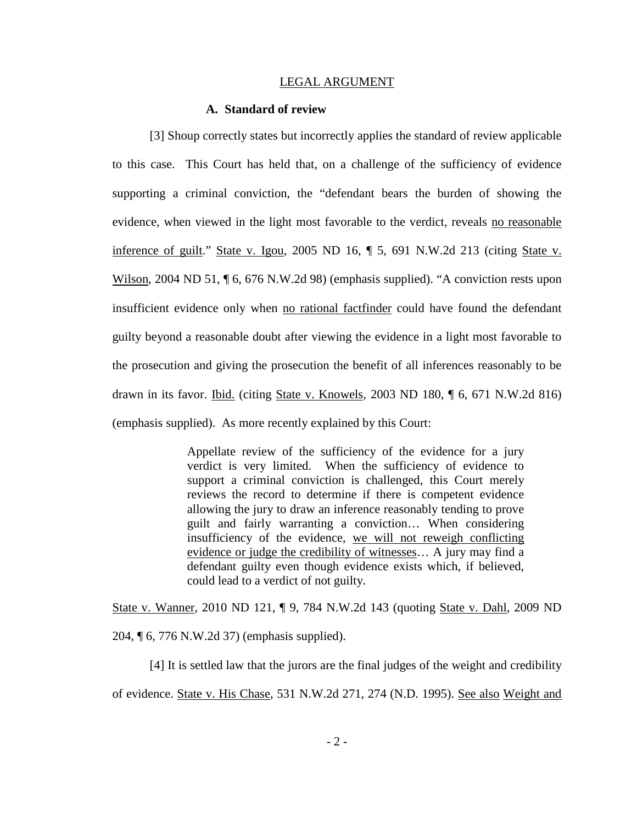#### LEGAL ARGUMENT

#### **A. Standard of review**

<span id="page-4-1"></span><span id="page-4-0"></span>[3] Shoup correctly states but incorrectly applies the standard of review applicable to this case. This Court has held that, on a challenge of the sufficiency of evidence supporting a criminal conviction, the "defendant bears the burden of showing the evidence, when viewed in the light most favorable to the verdict, reveals no reasonable inference of guilt." State v. Igou, 2005 ND 16, ¶ 5, 691 N.W.2d 213 (citing State v. Wilson, 2004 ND 51,  $\P$  6, 676 N.W.2d 98) (emphasis supplied). "A conviction rests upon insufficient evidence only when no rational factfinder could have found the defendant guilty beyond a reasonable doubt after viewing the evidence in a light most favorable to the prosecution and giving the prosecution the benefit of all inferences reasonably to be drawn in its favor. **Ibid.** (citing **State v. Knowels**, 2003 ND 180, 16, 671 N.W.2d 816) (emphasis supplied). As more recently explained by this Court:

> Appellate review of the sufficiency of the evidence for a jury verdict is very limited. When the sufficiency of evidence to support a criminal conviction is challenged, this Court merely reviews the record to determine if there is competent evidence allowing the jury to draw an inference reasonably tending to prove guilt and fairly warranting a conviction… When considering insufficiency of the evidence, we will not reweigh conflicting evidence or judge the credibility of witnesses… A jury may find a defendant guilty even though evidence exists which, if believed, could lead to a verdict of not guilty.

State v. Wanner, 2010 ND 121, ¶ 9, 784 N.W.2d 143 (quoting State v. Dahl, 2009 ND 204, ¶ 6, 776 N.W.2d 37) (emphasis supplied).

[4] It is settled law that the jurors are the final judges of the weight and credibility of evidence. State v. His Chase, 531 N.W.2d 271, 274 (N.D. 1995). See also Weight and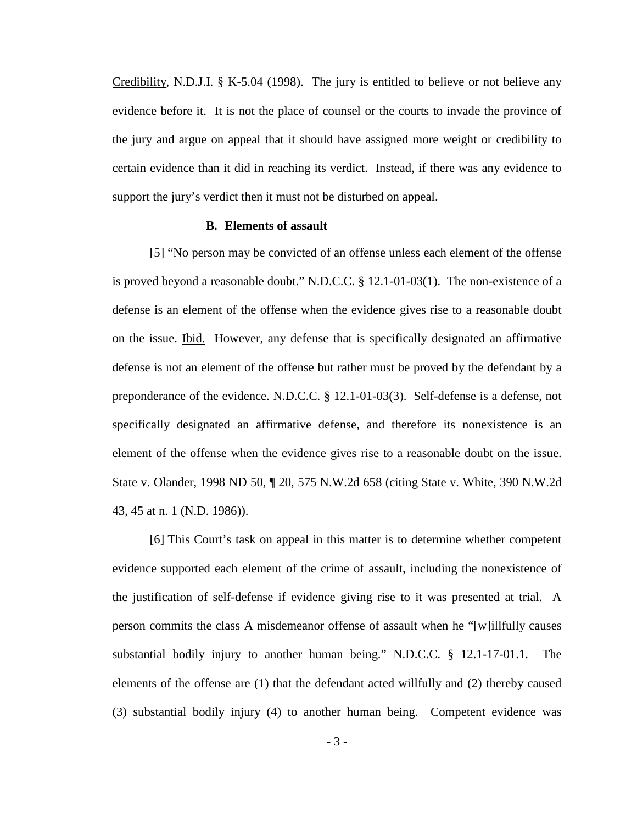Credibility, N.D.J.I. § K-5.04 (1998). The jury is entitled to believe or not believe any evidence before it. It is not the place of counsel or the courts to invade the province of the jury and argue on appeal that it should have assigned more weight or credibility to certain evidence than it did in reaching its verdict. Instead, if there was any evidence to support the jury's verdict then it must not be disturbed on appeal.

#### **B. Elements of assault**

<span id="page-5-0"></span>[5] "No person may be convicted of an offense unless each element of the offense is proved beyond a reasonable doubt." N.D.C.C. § 12.1-01-03(1). The non-existence of a defense is an element of the offense when the evidence gives rise to a reasonable doubt on the issue. Ibid. However, any defense that is specifically designated an affirmative defense is not an element of the offense but rather must be proved by the defendant by a preponderance of the evidence. N.D.C.C. § 12.1-01-03(3). Self-defense is a defense, not specifically designated an affirmative defense, and therefore its nonexistence is an element of the offense when the evidence gives rise to a reasonable doubt on the issue. State v. Olander, 1998 ND 50, ¶ 20, 575 N.W.2d 658 (citing State v. White, 390 N.W.2d 43, 45 at n. 1 (N.D. 1986)).

[6] This Court's task on appeal in this matter is to determine whether competent evidence supported each element of the crime of assault, including the nonexistence of the justification of self-defense if evidence giving rise to it was presented at trial. A person commits the class A misdemeanor offense of assault when he "[w]illfully causes substantial bodily injury to another human being." N.D.C.C. § 12.1-17-01.1. The elements of the offense are (1) that the defendant acted willfully and (2) thereby caused (3) substantial bodily injury (4) to another human being. Competent evidence was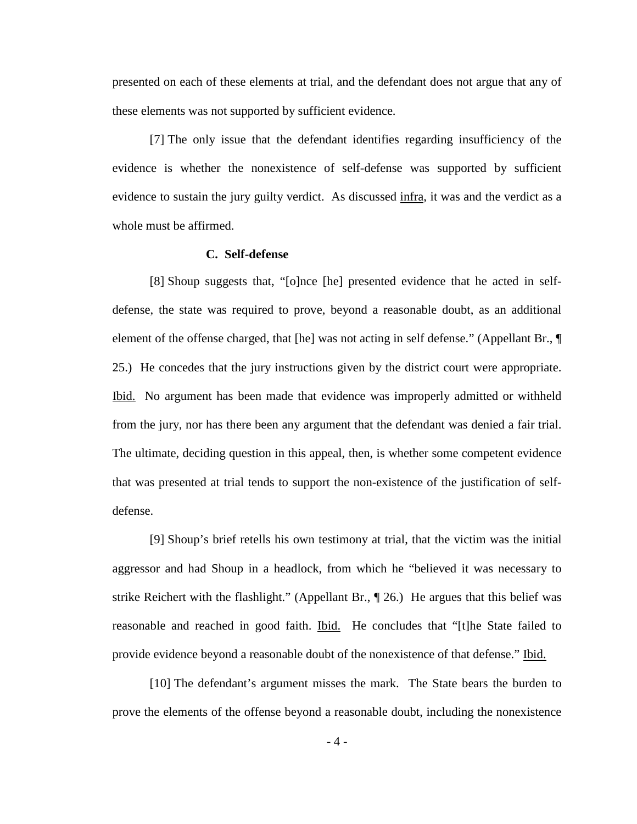presented on each of these elements at trial, and the defendant does not argue that any of these elements was not supported by sufficient evidence.

[7] The only issue that the defendant identifies regarding insufficiency of the evidence is whether the nonexistence of self-defense was supported by sufficient evidence to sustain the jury guilty verdict. As discussed infra, it was and the verdict as a whole must be affirmed.

### **C. Self-defense**

<span id="page-6-0"></span>[8] Shoup suggests that, "[o]nce [he] presented evidence that he acted in selfdefense, the state was required to prove, beyond a reasonable doubt, as an additional element of the offense charged, that [he] was not acting in self defense." (Appellant Br., ¶ 25.) He concedes that the jury instructions given by the district court were appropriate. Ibid. No argument has been made that evidence was improperly admitted or withheld from the jury, nor has there been any argument that the defendant was denied a fair trial. The ultimate, deciding question in this appeal, then, is whether some competent evidence that was presented at trial tends to support the non-existence of the justification of selfdefense.

[9] Shoup's brief retells his own testimony at trial, that the victim was the initial aggressor and had Shoup in a headlock, from which he "believed it was necessary to strike Reichert with the flashlight." (Appellant Br., ¶ 26.) He argues that this belief was reasonable and reached in good faith. Ibid. He concludes that "[t]he State failed to provide evidence beyond a reasonable doubt of the nonexistence of that defense." Ibid.

[10] The defendant's argument misses the mark. The State bears the burden to prove the elements of the offense beyond a reasonable doubt, including the nonexistence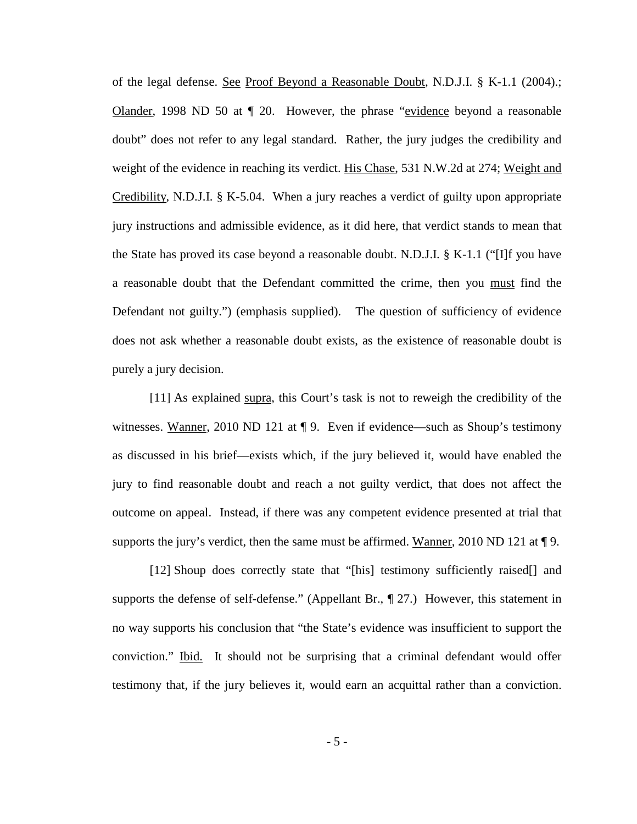of the legal defense. See Proof Beyond a Reasonable Doubt, N.D.J.I. § K-1.1 (2004).; Olander, 1998 ND 50 at ¶ 20. However, the phrase "evidence beyond a reasonable doubt" does not refer to any legal standard. Rather, the jury judges the credibility and weight of the evidence in reaching its verdict. His Chase, 531 N.W.2d at 274; Weight and Credibility, N.D.J.I. § K-5.04. When a jury reaches a verdict of guilty upon appropriate jury instructions and admissible evidence, as it did here, that verdict stands to mean that the State has proved its case beyond a reasonable doubt. N.D.J.I. § K-1.1 ("[I]f you have a reasonable doubt that the Defendant committed the crime, then you must find the Defendant not guilty.") (emphasis supplied). The question of sufficiency of evidence does not ask whether a reasonable doubt exists, as the existence of reasonable doubt is purely a jury decision.

[11] As explained supra, this Court's task is not to reweigh the credibility of the witnesses. Wanner, 2010 ND 121 at  $\P$  9. Even if evidence—such as Shoup's testimony as discussed in his brief—exists which, if the jury believed it, would have enabled the jury to find reasonable doubt and reach a not guilty verdict, that does not affect the outcome on appeal. Instead, if there was any competent evidence presented at trial that supports the jury's verdict, then the same must be affirmed. Wanner, 2010 ND 121 at  $\P$ 9.

[12] Shoup does correctly state that "[his] testimony sufficiently raised[] and supports the defense of self-defense." (Appellant Br.,  $\parallel$  27.) However, this statement in no way supports his conclusion that "the State's evidence was insufficient to support the conviction." **Ibid.** It should not be surprising that a criminal defendant would offer testimony that, if the jury believes it, would earn an acquittal rather than a conviction.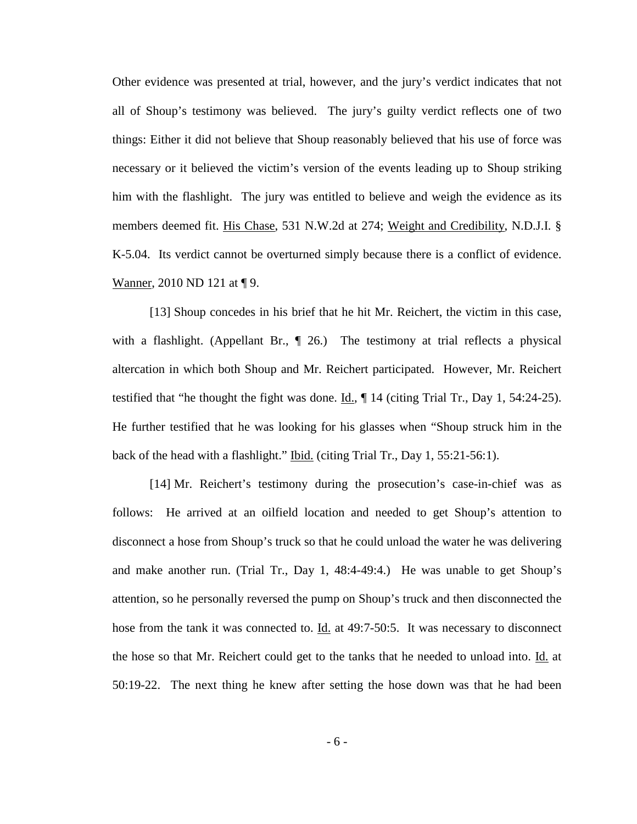Other evidence was presented at trial, however, and the jury's verdict indicates that not all of Shoup's testimony was believed. The jury's guilty verdict reflects one of two things: Either it did not believe that Shoup reasonably believed that his use of force was necessary or it believed the victim's version of the events leading up to Shoup striking him with the flashlight. The jury was entitled to believe and weigh the evidence as its members deemed fit. His Chase, 531 N.W.2d at 274; Weight and Credibility, N.D.J.I. § K-5.04. Its verdict cannot be overturned simply because there is a conflict of evidence. Wanner, 2010 ND 121 at ¶9.

[13] Shoup concedes in his brief that he hit Mr. Reichert, the victim in this case, with a flashlight. (Appellant Br.,  $\parallel$  26.) The testimony at trial reflects a physical altercation in which both Shoup and Mr. Reichert participated. However, Mr. Reichert testified that "he thought the fight was done.  $\underline{Id}$ ,  $\P$  14 (citing Trial Tr., Day 1, 54:24-25). He further testified that he was looking for his glasses when "Shoup struck him in the back of the head with a flashlight." Ibid. (citing Trial Tr., Day 1, 55:21-56:1).

[14] Mr. Reichert's testimony during the prosecution's case-in-chief was as follows: He arrived at an oilfield location and needed to get Shoup's attention to disconnect a hose from Shoup's truck so that he could unload the water he was delivering and make another run. (Trial Tr., Day 1, 48:4-49:4.) He was unable to get Shoup's attention, so he personally reversed the pump on Shoup's truck and then disconnected the hose from the tank it was connected to. **Id.** at 49:7-50:5. It was necessary to disconnect the hose so that Mr. Reichert could get to the tanks that he needed to unload into. Id. at 50:19-22. The next thing he knew after setting the hose down was that he had been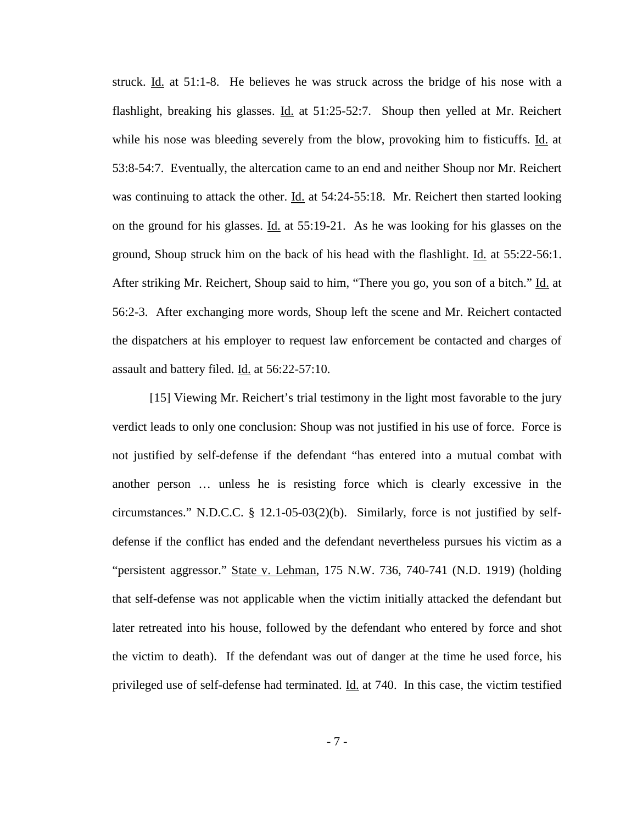struck. Id. at 51:1-8. He believes he was struck across the bridge of his nose with a flashlight, breaking his glasses. Id. at 51:25-52:7. Shoup then yelled at Mr. Reichert while his nose was bleeding severely from the blow, provoking him to fisticuffs. Id. at 53:8-54:7. Eventually, the altercation came to an end and neither Shoup nor Mr. Reichert was continuing to attack the other. Id. at 54:24-55:18. Mr. Reichert then started looking on the ground for his glasses. Id. at 55:19-21. As he was looking for his glasses on the ground, Shoup struck him on the back of his head with the flashlight. Id. at 55:22-56:1. After striking Mr. Reichert, Shoup said to him, "There you go, you son of a bitch." Id. at 56:2-3. After exchanging more words, Shoup left the scene and Mr. Reichert contacted the dispatchers at his employer to request law enforcement be contacted and charges of assault and battery filed. Id. at 56:22-57:10.

[15] Viewing Mr. Reichert's trial testimony in the light most favorable to the jury verdict leads to only one conclusion: Shoup was not justified in his use of force. Force is not justified by self-defense if the defendant "has entered into a mutual combat with another person … unless he is resisting force which is clearly excessive in the circumstances." N.D.C.C. § 12.1-05-03(2)(b). Similarly, force is not justified by selfdefense if the conflict has ended and the defendant nevertheless pursues his victim as a "persistent aggressor." State v. Lehman, 175 N.W. 736, 740-741 (N.D. 1919) (holding that self-defense was not applicable when the victim initially attacked the defendant but later retreated into his house, followed by the defendant who entered by force and shot the victim to death). If the defendant was out of danger at the time he used force, his privileged use of self-defense had terminated. Id. at 740. In this case, the victim testified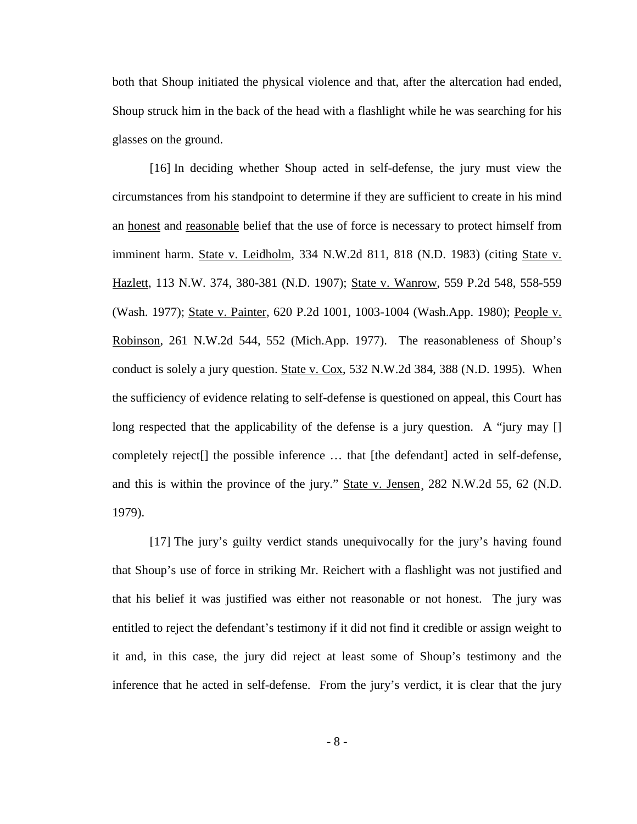both that Shoup initiated the physical violence and that, after the altercation had ended, Shoup struck him in the back of the head with a flashlight while he was searching for his glasses on the ground.

[16] In deciding whether Shoup acted in self-defense, the jury must view the circumstances from his standpoint to determine if they are sufficient to create in his mind an honest and reasonable belief that the use of force is necessary to protect himself from imminent harm. State v. Leidholm, 334 N.W.2d 811, 818 (N.D. 1983) (citing State v. Hazlett, 113 N.W. 374, 380-381 (N.D. 1907); State v. Wanrow, 559 P.2d 548, 558-559 (Wash. 1977); State v. Painter, 620 P.2d 1001, 1003-1004 (Wash.App. 1980); People v. Robinson, 261 N.W.2d 544, 552 (Mich.App. 1977). The reasonableness of Shoup's conduct is solely a jury question. State v. Cox, 532 N.W.2d 384, 388 (N.D. 1995). When the sufficiency of evidence relating to self-defense is questioned on appeal, this Court has long respected that the applicability of the defense is a jury question. A "jury may [] completely reject[] the possible inference … that [the defendant] acted in self-defense, and this is within the province of the jury." State v. Jensen, 282 N.W.2d 55, 62 (N.D. 1979).

[17] The jury's guilty verdict stands unequivocally for the jury's having found that Shoup's use of force in striking Mr. Reichert with a flashlight was not justified and that his belief it was justified was either not reasonable or not honest. The jury was entitled to reject the defendant's testimony if it did not find it credible or assign weight to it and, in this case, the jury did reject at least some of Shoup's testimony and the inference that he acted in self-defense. From the jury's verdict, it is clear that the jury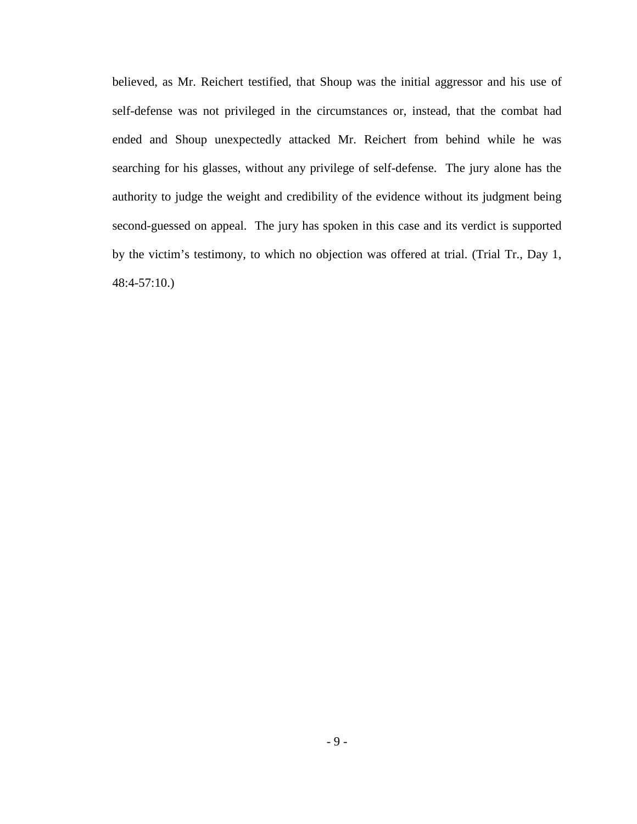believed, as Mr. Reichert testified, that Shoup was the initial aggressor and his use of self-defense was not privileged in the circumstances or, instead, that the combat had ended and Shoup unexpectedly attacked Mr. Reichert from behind while he was searching for his glasses, without any privilege of self-defense. The jury alone has the authority to judge the weight and credibility of the evidence without its judgment being second-guessed on appeal. The jury has spoken in this case and its verdict is supported by the victim's testimony, to which no objection was offered at trial. (Trial Tr., Day 1, 48:4-57:10.)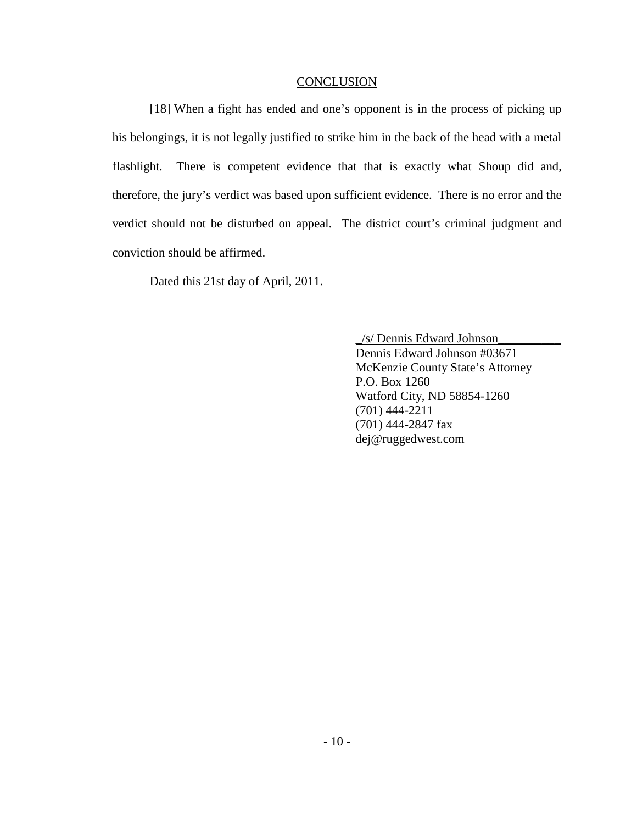#### **CONCLUSION**

<span id="page-12-0"></span>[18] When a fight has ended and one's opponent is in the process of picking up his belongings, it is not legally justified to strike him in the back of the head with a metal flashlight. There is competent evidence that that is exactly what Shoup did and, therefore, the jury's verdict was based upon sufficient evidence. There is no error and the verdict should not be disturbed on appeal. The district court's criminal judgment and conviction should be affirmed.

Dated this 21st day of April, 2011.

Dennis Edward Johnson #03671 \_/s/ Dennis Edward Johnson\_\_\_\_\_\_\_\_\_\_ McKenzie County State's Attorney P.O. Box 1260 Watford City, ND 58854-1260 (701) 444-2211 (701) 444-2847 fax dej@ruggedwest.com